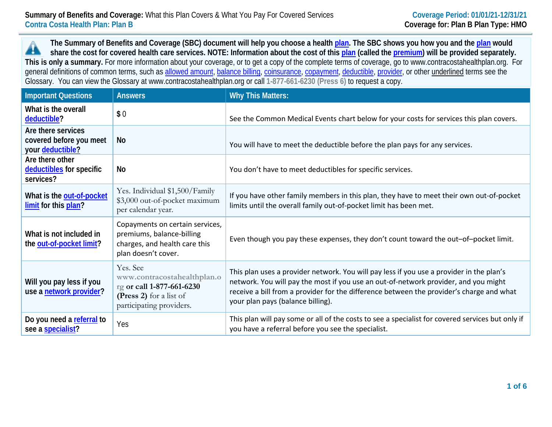**The Summary of Benefits and Coverage (SBC) document will help you choose a health [plan.](https://www.healthcare.gov/sbc-glossary/#plan) The SBC shows you how you and th[e plan](https://www.healthcare.gov/sbc-glossary/#plan) would** ▲ **share the cost for covered health care services. NOTE: Information about the cost of this [plan](https://www.healthcare.gov/sbc-glossary/#plan) (called the [premium\)](https://www.healthcare.gov/sbc-glossary/#premium) will be provided separately. This is only a summary.** For more information about your coverage, or to get a copy of the complete terms of coverage, go to www.contracostahealthplan.org. For general definitions of common terms, such as [allowed amount,](https://www.healthcare.gov/sbc-glossary/#allowed-amount) [balance billing,](https://www.healthcare.gov/sbc-glossary/#balance-billing) [coinsurance,](https://www.healthcare.gov/sbc-glossary/#coinsurance) [copayment,](https://www.healthcare.gov/sbc-glossary/#copayment) [deductible,](https://www.healthcare.gov/sbc-glossary/#deductible) [provider,](https://www.healthcare.gov/sbc-glossary/#provider) or other underlined terms see the Glossary. You can view the Glossary at www.contracostahealthplan.org or call **1-877-661-6230 (Press 6)** to request a copy.

| <b>Important Questions</b>                                        | <b>Answers</b>                                                                                                              | <b>Why This Matters:</b>                                                                                                                                                                                                                                                                                         |
|-------------------------------------------------------------------|-----------------------------------------------------------------------------------------------------------------------------|------------------------------------------------------------------------------------------------------------------------------------------------------------------------------------------------------------------------------------------------------------------------------------------------------------------|
| What is the overall<br>deductible?                                | \$0                                                                                                                         | See the Common Medical Events chart below for your costs for services this plan covers.                                                                                                                                                                                                                          |
| Are there services<br>covered before you meet<br>your deductible? | <b>No</b>                                                                                                                   | You will have to meet the deductible before the plan pays for any services.                                                                                                                                                                                                                                      |
| Are there other<br>deductibles for specific<br>services?          | <b>No</b>                                                                                                                   | You don't have to meet deductibles for specific services.                                                                                                                                                                                                                                                        |
| What is the out-of-pocket<br>limit for this plan?                 | Yes. Individual \$1,500/Family<br>\$3,000 out-of-pocket maximum<br>per calendar year.                                       | If you have other family members in this plan, they have to meet their own out-of-pocket<br>limits until the overall family out-of-pocket limit has been met.                                                                                                                                                    |
| What is not included in<br>the out-of-pocket limit?               | Copayments on certain services,<br>premiums, balance-billing<br>charges, and health care this<br>plan doesn't cover.        | Even though you pay these expenses, they don't count toward the out-of-pocket limit.                                                                                                                                                                                                                             |
| Will you pay less if you<br>use a network provider?               | Yes. See<br>www.contracostahealthplan.o<br>rg or call 1-877-661-6230<br>(Press 2) for a list of<br>participating providers. | This plan uses a provider network. You will pay less if you use a provider in the plan's<br>network. You will pay the most if you use an out-of-network provider, and you might<br>receive a bill from a provider for the difference between the provider's charge and what<br>your plan pays (balance billing). |
| Do you need a referral to<br>see a specialist?                    | Yes                                                                                                                         | This plan will pay some or all of the costs to see a specialist for covered services but only if<br>you have a referral before you see the specialist.                                                                                                                                                           |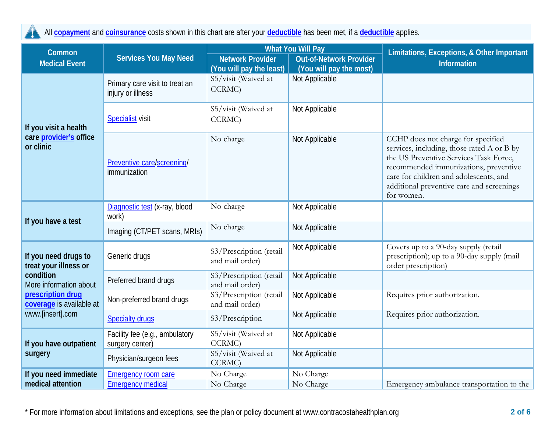

All **[copayment](https://www.healthcare.gov/sbc-glossary/#copayment)** and **[coinsurance](https://www.healthcare.gov/sbc-glossary/#coinsurance)** costs shown in this chart are after your **[deductible](https://www.healthcare.gov/sbc-glossary/#deductible)** has been met, if a **[deductible](https://www.healthcare.gov/sbc-glossary/#deductible)** applies.

| Common                                        | <b>Services You May Need</b>                        |                                                            | <b>What You Will Pay</b>                  | Limitations, Exceptions, & Other Important                                                                                                                                                                                                                               |  |
|-----------------------------------------------|-----------------------------------------------------|------------------------------------------------------------|-------------------------------------------|--------------------------------------------------------------------------------------------------------------------------------------------------------------------------------------------------------------------------------------------------------------------------|--|
| <b>Medical Event</b>                          |                                                     | <b>Network Provider</b>                                    | <b>Out-of-Network Provider</b>            | <b>Information</b>                                                                                                                                                                                                                                                       |  |
| If you visit a health                         | Primary care visit to treat an<br>injury or illness | (You will pay the least)<br>\$5/visit (Waived at<br>CCRMC) | (You will pay the most)<br>Not Applicable |                                                                                                                                                                                                                                                                          |  |
|                                               | <b>Specialist visit</b>                             | \$5/visit (Waived at<br>CCRMC)                             | Not Applicable                            |                                                                                                                                                                                                                                                                          |  |
| care provider's office<br>or clinic           | Preventive care/screening/<br>immunization          | No charge                                                  | Not Applicable                            | CCHP does not charge for specified<br>services, including, those rated A or B by<br>the US Preventive Services Task Force,<br>recommended immunizations, preventive<br>care for children and adolescents, and<br>additional preventive care and screenings<br>for women. |  |
|                                               | Diagnostic test (x-ray, blood<br>work)              | No charge                                                  | Not Applicable                            |                                                                                                                                                                                                                                                                          |  |
| If you have a test                            | Imaging (CT/PET scans, MRIs)                        | No charge                                                  | Not Applicable                            |                                                                                                                                                                                                                                                                          |  |
| If you need drugs to<br>treat your illness or | Generic drugs                                       | \$3/Prescription (retail<br>and mail order)                | Not Applicable                            | Covers up to a 90-day supply (retail<br>prescription); up to a 90-day supply (mail<br>order prescription)                                                                                                                                                                |  |
| condition<br>More information about           | Preferred brand drugs                               | \$3/Prescription (retail<br>and mail order)                | Not Applicable                            |                                                                                                                                                                                                                                                                          |  |
| prescription drug<br>coverage is available at | Non-preferred brand drugs                           | \$3/Prescription (retail<br>and mail order)                | Not Applicable                            | Requires prior authorization.                                                                                                                                                                                                                                            |  |
| www.[insert].com                              | <b>Specialty drugs</b>                              | \$3/Prescription                                           | Not Applicable                            | Requires prior authorization.                                                                                                                                                                                                                                            |  |
| If you have outpatient                        | Facility fee (e.g., ambulatory<br>surgery center)   | \$5/visit (Waived at<br>CCRMC)                             | Not Applicable                            |                                                                                                                                                                                                                                                                          |  |
| surgery                                       | Physician/surgeon fees                              | \$5/visit (Waived at<br>CCRMC)                             | Not Applicable                            |                                                                                                                                                                                                                                                                          |  |
| If you need immediate                         | <b>Emergency room care</b>                          | No Charge                                                  | No Charge                                 |                                                                                                                                                                                                                                                                          |  |
| medical attention                             | <b>Emergency medical</b>                            | No Charge                                                  | No Charge                                 | Emergency ambulance transportation to the                                                                                                                                                                                                                                |  |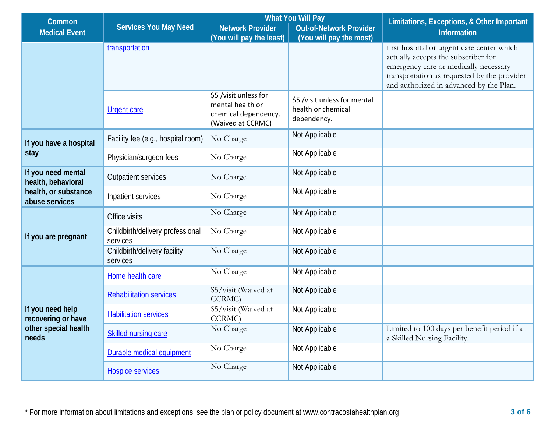| Common                                   | <b>Services You May Need</b>                 | <b>What You Will Pay</b>                                                               |                                                                   | Limitations, Exceptions, & Other Important                                                                                                                                                                           |  |
|------------------------------------------|----------------------------------------------|----------------------------------------------------------------------------------------|-------------------------------------------------------------------|----------------------------------------------------------------------------------------------------------------------------------------------------------------------------------------------------------------------|--|
| <b>Medical Event</b>                     |                                              | <b>Network Provider</b>                                                                | <b>Out-of-Network Provider</b>                                    | <b>Information</b>                                                                                                                                                                                                   |  |
|                                          |                                              | (You will pay the least)                                                               | (You will pay the most)                                           |                                                                                                                                                                                                                      |  |
|                                          | transportation                               |                                                                                        |                                                                   | first hospital or urgent care center which<br>actually accepts the subscriber for<br>emergency care or medically necessary<br>transportation as requested by the provider<br>and authorized in advanced by the Plan. |  |
|                                          | <b>Urgent care</b>                           | \$5 /visit unless for<br>mental health or<br>chemical dependency.<br>(Waived at CCRMC) | \$5 /visit unless for mental<br>health or chemical<br>dependency. |                                                                                                                                                                                                                      |  |
| If you have a hospital                   | Facility fee (e.g., hospital room)           | No Charge                                                                              | Not Applicable                                                    |                                                                                                                                                                                                                      |  |
| stay                                     | Physician/surgeon fees                       | No Charge                                                                              | Not Applicable                                                    |                                                                                                                                                                                                                      |  |
| If you need mental<br>health, behavioral | <b>Outpatient services</b>                   | No Charge                                                                              | Not Applicable                                                    |                                                                                                                                                                                                                      |  |
| health, or substance<br>abuse services   | Inpatient services                           | No Charge                                                                              | Not Applicable                                                    |                                                                                                                                                                                                                      |  |
|                                          | Office visits                                | No Charge                                                                              | Not Applicable                                                    |                                                                                                                                                                                                                      |  |
| If you are pregnant                      | Childbirth/delivery professional<br>services | No Charge                                                                              | Not Applicable                                                    |                                                                                                                                                                                                                      |  |
|                                          | Childbirth/delivery facility<br>services     | No Charge                                                                              | Not Applicable                                                    |                                                                                                                                                                                                                      |  |
|                                          | Home health care                             | No Charge                                                                              | Not Applicable                                                    |                                                                                                                                                                                                                      |  |
|                                          | <b>Rehabilitation services</b>               | \$5/visit (Waived at<br>CCRMC)                                                         | Not Applicable                                                    |                                                                                                                                                                                                                      |  |
| If you need help<br>recovering or have   | <b>Habilitation services</b>                 | \$5/visit (Waived at<br>CCRMC)                                                         | Not Applicable                                                    |                                                                                                                                                                                                                      |  |
| other special health<br>needs            | <b>Skilled nursing care</b>                  | No Charge                                                                              | Not Applicable                                                    | Limited to 100 days per benefit period if at<br>a Skilled Nursing Facility.                                                                                                                                          |  |
|                                          | Durable medical equipment                    | No Charge                                                                              | Not Applicable                                                    |                                                                                                                                                                                                                      |  |
|                                          | <b>Hospice services</b>                      | No Charge                                                                              | Not Applicable                                                    |                                                                                                                                                                                                                      |  |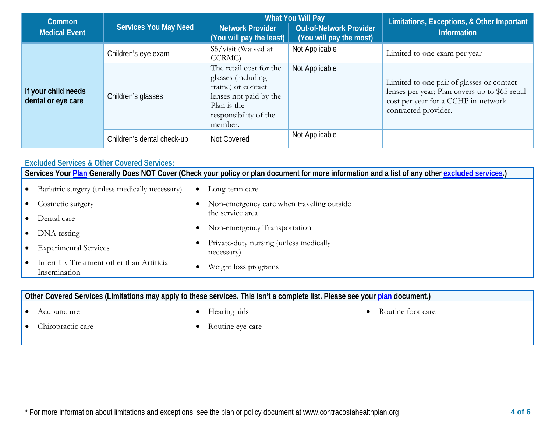| Common                                    |                              |                                                                                                                                                 | <b>What You Will Pay</b>                                  | Limitations, Exceptions, & Other Important                                                                                                                 |  |
|-------------------------------------------|------------------------------|-------------------------------------------------------------------------------------------------------------------------------------------------|-----------------------------------------------------------|------------------------------------------------------------------------------------------------------------------------------------------------------------|--|
| <b>Medical Event</b>                      | <b>Services You May Need</b> | <b>Network Provider</b><br>(You will pay the least)                                                                                             | <b>Out-of-Network Provider</b><br>(You will pay the most) | <b>Information</b>                                                                                                                                         |  |
| If your child needs<br>dental or eye care | Children's eye exam          | \$5/visit (Waived at<br>CCRMC)                                                                                                                  | Not Applicable                                            | Limited to one exam per year                                                                                                                               |  |
|                                           | Children's glasses           | The retail cost for the<br>glasses (including<br>frame) or contact<br>lenses not paid by the<br>Plan is the<br>responsibility of the<br>member. | Not Applicable                                            | Limited to one pair of glasses or contact<br>lenses per year; Plan covers up to \$65 retail<br>cost per year for a CCHP in-network<br>contracted provider. |  |
|                                           | Children's dental check-up   | Not Covered                                                                                                                                     | Not Applicable                                            |                                                                                                                                                            |  |

### **Excluded Services & Other Covered Services:**

**Services Your [Plan](https://www.healthcare.gov/sbc-glossary/#plan) Generally Does NOT Cover (Check your policy or plan document for more information and a list of any other [excluded services.](https://www.healthcare.gov/sbc-glossary/#excluded-services))**

| • Bariatric surgery (unless medically necessary)              | $\bullet$ | Long-term care                                       |
|---------------------------------------------------------------|-----------|------------------------------------------------------|
| • Cosmetic surgery                                            | $\bullet$ | Non-emergency care when traveling outside            |
| • Dental care                                                 |           | the service area                                     |
| • DNA testing                                                 |           | • Non-emergency Transportation                       |
| • Experimental Services                                       | ٠         | Private-duty nursing (unless medically<br>necessary) |
| • Infertility Treatment other than Artificial<br>Insemination |           | Weight loss programs                                 |

# **Other Covered Services (Limitations may apply to these services. This isn't a complete list. Please see your [plan](https://www.healthcare.gov/sbc-glossary/#plan) document.)**

• Acupuncture

• Hearing aids

• Routine foot care

• Chiropractic care

• Routine eye care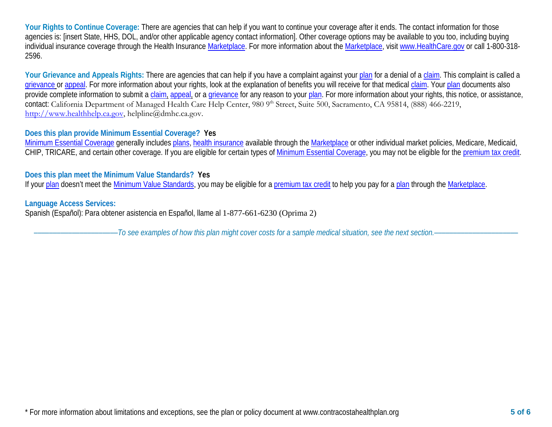Your Rights to Continue Coverage: There are agencies that can help if you want to continue your coverage after it ends. The contact information for those agencies is: [insert State, HHS, DOL, and/or other applicable agency contact information]. Other coverage options may be available to you too, including buying individual insurance coverage through the Health Insurance [Marketplace.](https://www.healthcare.gov/sbc-glossary/#marketplace) For more information about the [Marketplace,](https://www.healthcare.gov/sbc-glossary/#marketplace) visi[t www.HealthCare.gov](http://www.healthcare.gov/) or call 1-800-318-2596.

Your Grievance and Appeals Rights: There are agencies that can help if you have a complaint against you[r plan](https://www.healthcare.gov/sbc-glossary/#plan) for a denial of a [claim.](https://www.healthcare.gov/sbc-glossary/#claim) This complaint is called a [grievance](https://www.healthcare.gov/sbc-glossary/#grievance) or [appeal.](https://www.healthcare.gov/sbc-glossary/#appeal) For more information about your rights, look at the explanation of benefits you will receive for that medica[l claim.](https://www.healthcare.gov/sbc-glossary/#claim) Your [plan](https://www.healthcare.gov/sbc-glossary/#plan) documents also provide complete information to submit a [claim,](https://www.healthcare.gov/sbc-glossary/#claim) [appeal,](https://www.healthcare.gov/sbc-glossary/#appeal) or a [grievance](https://www.healthcare.gov/sbc-glossary/#grievance) for any reason to your [plan.](https://www.healthcare.gov/sbc-glossary/#plan) For more information about your rights, this notice, or assistance, contact: California Department of Managed Health Care Help Center, 980 9<sup>th</sup> Street, Suite 500, Sacramento, CA 95814, (888) 466-2219, [http://www.healthhelp.ca.gov,](http://www.healthhelp.ca.gov/) helpline@dmhc.ca.gov.

## **Does this plan provide Minimum Essential Coverage? Yes**

[Minimum Essential Coverage](https://www.healthcare.gov/sbc-glossary/#minimum-essential-coverage) generally includes [plans,](https://www.healthcare.gov/sbc-glossary/#plan) [health insurance](https://www.healthcare.gov/sbc-glossary/#health-insurance) available through the [Marketplace](https://www.healthcare.gov/sbc-glossary/#marketplace) or other individual market policies, Medicare, Medicaid, CHIP, TRICARE, and certain other coverage. If you are eligible for certain types of [Minimum Essential Coverage,](https://www.healthcare.gov/sbc-glossary/#minimum-essential-coverage) you may not be eligible for the [premium tax credit.](https://www.healthcare.gov/sbc-glossary/#premium-tax-credits)

## **Does this plan meet the Minimum Value Standards? Yes**

If your [plan](https://www.healthcare.gov/sbc-glossary/#plan) doesn't meet the [Minimum Value Standards,](https://www.healthcare.gov/sbc-glossary/#minimum-value-standard) you may be eligible for a [premium tax credit](https://www.healthcare.gov/sbc-glossary/#premium-tax-credits) to help you pay for a plan through the [Marketplace.](https://www.healthcare.gov/sbc-glossary/#marketplace)

### **Language Access Services:**

Spanish (Español): Para obtener asistencia en Español, llame al 1-877-661-6230 (Oprima 2)

––––––––––––––––––––––*To see examples of how this plan might cover costs for a sample medical situation, see the next section.–––––––––––*–––––––––––